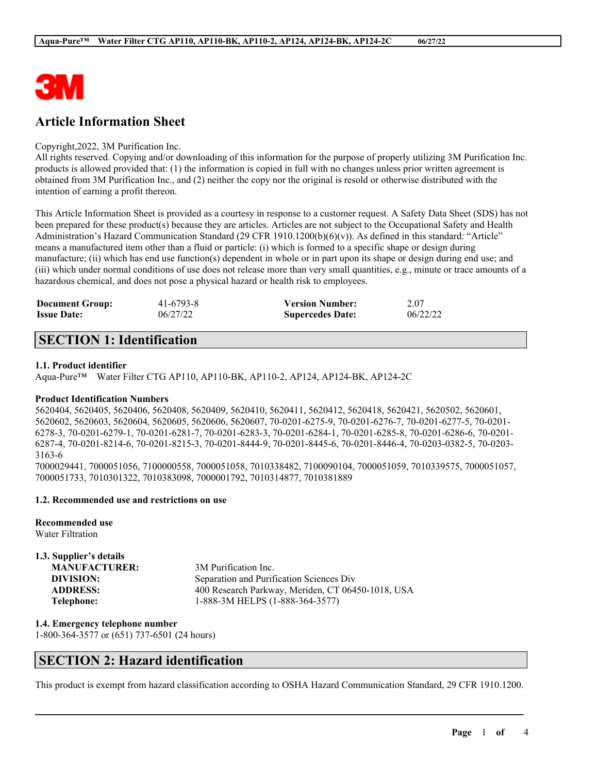

# **Article Information Sheet**

#### Copyright,2022, 3M Purification Inc.

All rights reserved. Copying and/or downloading of this information for the purpose of properly utilizing 3M Purification Inc. products is allowed provided that: (1) the information is copied in full with no changes unless prior written agreement is obtained from 3M Purification Inc., and (2) neither the copy nor the original is resold or otherwise distributed with the intention of earning a profit thereon.

This Article Information Sheet is provided as a courtesy in response to a customer request. A Safety Data Sheet (SDS) has not been prepared for these product(s) because they are articles. Articles are not subject to the Occupational Safety and Health Administration's Hazard Communication Standard (29 CFR 1910.1200(b)(6)(v)). As defined in this standard: "Article" means a manufactured item other than a fluid or particle: (i) which is formed to a specific shape or design during manufacture; (ii) which has end use function(s) dependent in whole or in part upon its shape or design during end use; and (iii) which under normal conditions of use does not release more than very small quantities, e.g., minute or trace amounts of a hazardous chemical, and does not pose a physical hazard or health risk to employees.

| <b>Document Group:</b> | 41-6793-8 | <b>Version Number:</b>  | 2.07     |
|------------------------|-----------|-------------------------|----------|
| <b>Issue Date:</b>     | 06/27/22  | <b>Supercedes Date:</b> | 06/22/22 |

# **SECTION 1: Identification**

#### **1.1. Product identifier**

Aqua-Pure™ Water Filter CTG AP110, AP110-BK, AP110-2, AP124, AP124-BK, AP124-2C

#### **Product Identification Numbers**

5620404, 5620405, 5620406, 5620408, 5620409, 5620410, 5620411, 5620412, 5620418, 5620421, 5620502, 5620601, 5620602, 5620603, 5620604, 5620605, 5620606, 5620607, 70-0201-6275-9, 70-0201-6276-7, 70-0201-6277-5, 70-0201- 6278-3, 70-0201-6279-1, 70-0201-6281-7, 70-0201-6283-3, 70-0201-6284-1, 70-0201-6285-8, 70-0201-6286-6, 70-0201- 6287-4, 70-0201-8214-6, 70-0201-8215-3, 70-0201-8444-9, 70-0201-8445-6, 70-0201-8446-4, 70-0203-0382-5, 70-0203- 3163-6

7000029441, 7000051056, 7100000558, 7000051058, 7010338482, 7100090104, 7000051059, 7010339575, 7000051057, 7000051733, 7010301322, 7010383098, 7000001792, 7010314877, 7010381889

### **1.2. Recommended use and restrictions on use**

**Recommended use**

Water Filtration

#### **1.3. Supplier's details**

| <b>MANUFACTURER:</b> | 3M Purification Inc.                              |
|----------------------|---------------------------------------------------|
| DIVISION:            | Separation and Purification Sciences Div          |
| <b>ADDRESS:</b>      | 400 Research Parkway, Meriden, CT 06450-1018, USA |
| Telephone:           | 1-888-3M HELPS (1-888-364-3577)                   |

**1.4. Emergency telephone number**

1-800-364-3577 or (651) 737-6501 (24 hours)

## **SECTION 2: Hazard identification**

This product is exempt from hazard classification according to OSHA Hazard Communication Standard, 29 CFR 1910.1200.

 $\mathcal{L}_\mathcal{L} = \mathcal{L}_\mathcal{L} = \mathcal{L}_\mathcal{L} = \mathcal{L}_\mathcal{L} = \mathcal{L}_\mathcal{L} = \mathcal{L}_\mathcal{L} = \mathcal{L}_\mathcal{L} = \mathcal{L}_\mathcal{L} = \mathcal{L}_\mathcal{L} = \mathcal{L}_\mathcal{L} = \mathcal{L}_\mathcal{L} = \mathcal{L}_\mathcal{L} = \mathcal{L}_\mathcal{L} = \mathcal{L}_\mathcal{L} = \mathcal{L}_\mathcal{L} = \mathcal{L}_\mathcal{L} = \mathcal{L}_\mathcal{L}$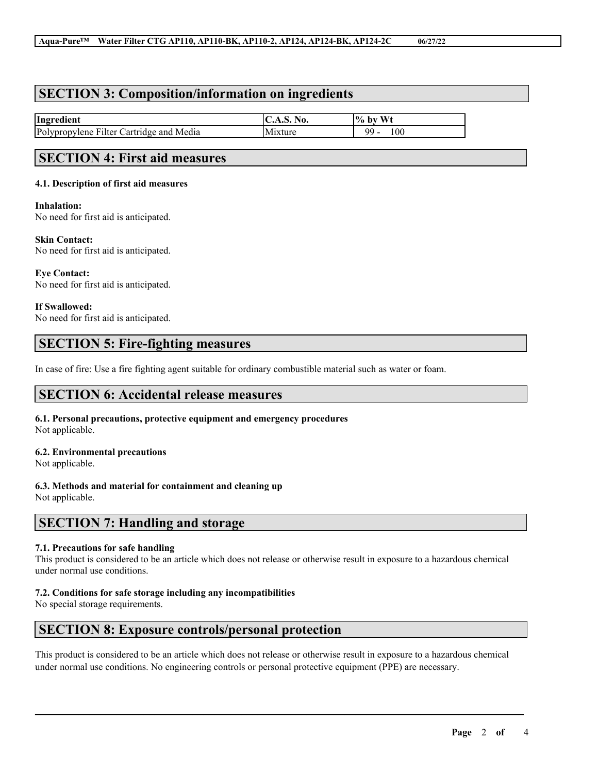### **SECTION 3: Composition/information on ingredients**

| Ingredient                                         | NO.<br>$\mathbf{C}$ . $\mathbf{C}$ | Wt<br>$\frac{10}{6}$<br>b١ |
|----------------------------------------------------|------------------------------------|----------------------------|
| Polypropylene<br>Media<br>artridge and '<br>Filter |                                    | 100<br>QQ<br>. .           |

## **SECTION 4: First aid measures**

### **4.1. Description of first aid measures**

**Inhalation:** No need for first aid is anticipated.

**Skin Contact:** No need for first aid is anticipated.

**Eye Contact:** No need for first aid is anticipated.

**If Swallowed:** No need for first aid is anticipated.

### **SECTION 5: Fire-fighting measures**

In case of fire: Use a fire fighting agent suitable for ordinary combustible material such as water or foam.

## **SECTION 6: Accidental release measures**

**6.1. Personal precautions, protective equipment and emergency procedures** Not applicable.

### **6.2. Environmental precautions**

Not applicable.

### **6.3. Methods and material for containment and cleaning up**

Not applicable.

## **SECTION 7: Handling and storage**

### **7.1. Precautions for safe handling**

This product is considered to be an article which does not release or otherwise result in exposure to a hazardous chemical under normal use conditions.

### **7.2. Conditions for safe storage including any incompatibilities**

No special storage requirements.

## **SECTION 8: Exposure controls/personal protection**

This product is considered to be an article which does not release or otherwise result in exposure to a hazardous chemical under normal use conditions. No engineering controls or personal protective equipment (PPE) are necessary.

 $\mathcal{L}_\mathcal{L} = \mathcal{L}_\mathcal{L} = \mathcal{L}_\mathcal{L} = \mathcal{L}_\mathcal{L} = \mathcal{L}_\mathcal{L} = \mathcal{L}_\mathcal{L} = \mathcal{L}_\mathcal{L} = \mathcal{L}_\mathcal{L} = \mathcal{L}_\mathcal{L} = \mathcal{L}_\mathcal{L} = \mathcal{L}_\mathcal{L} = \mathcal{L}_\mathcal{L} = \mathcal{L}_\mathcal{L} = \mathcal{L}_\mathcal{L} = \mathcal{L}_\mathcal{L} = \mathcal{L}_\mathcal{L} = \mathcal{L}_\mathcal{L}$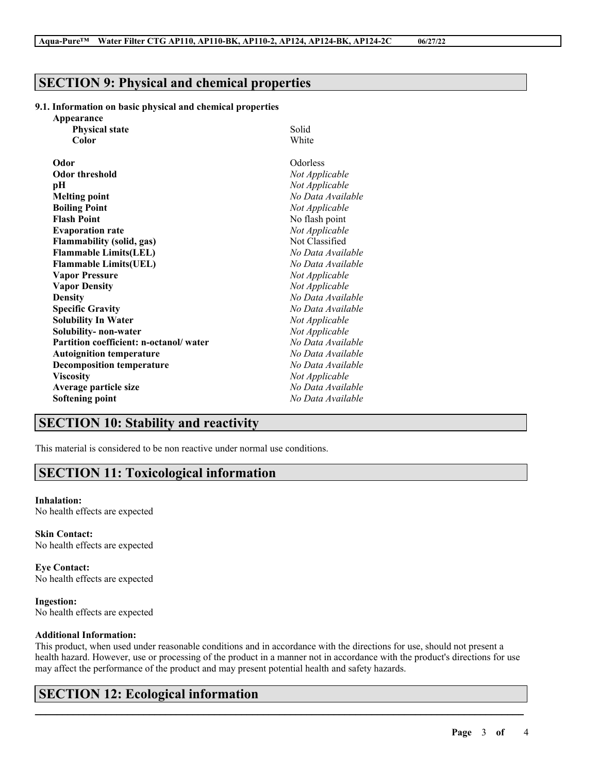# **SECTION 9: Physical and chemical properties**

### **9.1. Information on basic physical and chemical properties**

| Appearance                             |                   |
|----------------------------------------|-------------------|
| <b>Physical state</b>                  | Solid             |
| Color                                  | White             |
| Odor                                   | Odorless          |
| <b>Odor threshold</b>                  | Not Applicable    |
| pН                                     | Not Applicable    |
| <b>Melting point</b>                   | No Data Available |
| <b>Boiling Point</b>                   | Not Applicable    |
| <b>Flash Point</b>                     | No flash point    |
| <b>Evaporation rate</b>                | Not Applicable    |
| <b>Flammability (solid, gas)</b>       | Not Classified    |
| <b>Flammable Limits(LEL)</b>           | No Data Available |
| <b>Flammable Limits(UEL)</b>           | No Data Available |
| <b>Vapor Pressure</b>                  | Not Applicable    |
| <b>Vapor Density</b>                   | Not Applicable    |
| <b>Density</b>                         | No Data Available |
| <b>Specific Gravity</b>                | No Data Available |
| <b>Solubility In Water</b>             | Not Applicable    |
| Solubility- non-water                  | Not Applicable    |
| Partition coefficient: n-octanol/water | No Data Available |
| <b>Autoignition temperature</b>        | No Data Available |
| <b>Decomposition temperature</b>       | No Data Available |
| <b>Viscosity</b>                       | Not Applicable    |
| Average particle size                  | No Data Available |
| <b>Softening point</b>                 | No Data Available |

# **SECTION 10: Stability and reactivity**

This material is considered to be non reactive under normal use conditions.

## **SECTION 11: Toxicological information**

### **Inhalation:**

No health effects are expected

**Skin Contact:** No health effects are expected

**Eye Contact:** No health effects are expected

**Ingestion:** No health effects are expected

### **Additional Information:**

This product, when used under reasonable conditions and in accordance with the directions for use, should not present a health hazard. However, use or processing of the product in a manner not in accordance with the product's directions for use may affect the performance of the product and may present potential health and safety hazards.

 $\mathcal{L}_\mathcal{L} = \mathcal{L}_\mathcal{L} = \mathcal{L}_\mathcal{L} = \mathcal{L}_\mathcal{L} = \mathcal{L}_\mathcal{L} = \mathcal{L}_\mathcal{L} = \mathcal{L}_\mathcal{L} = \mathcal{L}_\mathcal{L} = \mathcal{L}_\mathcal{L} = \mathcal{L}_\mathcal{L} = \mathcal{L}_\mathcal{L} = \mathcal{L}_\mathcal{L} = \mathcal{L}_\mathcal{L} = \mathcal{L}_\mathcal{L} = \mathcal{L}_\mathcal{L} = \mathcal{L}_\mathcal{L} = \mathcal{L}_\mathcal{L}$ 

# **SECTION 12: Ecological information**